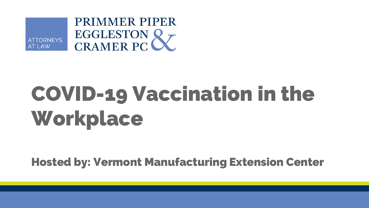

## **COVID-19 Vaccination in the Workplace**

**Hosted by: Vermont Manufacturing Extension Center**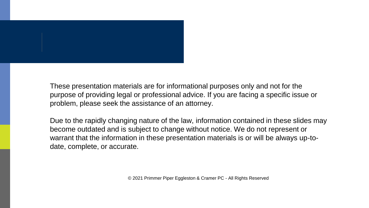

These presentation materials are for informational purposes only and not for the purpose of providing legal or professional advice. If you are facing a specific issue or problem, please seek the assistance of an attorney.

Due to the rapidly changing nature of the law, information contained in these slides may become outdated and is subject to change without notice. We do not represent or warrant that the information in these presentation materials is or will be always up-todate, complete, or accurate.

© 2021 Primmer Piper Eggleston & Cramer PC - All Rights Reserved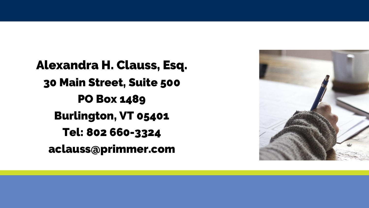**Alexandra H. Clauss, Esq. 30 Main Street, Suite 500 PO Box 1489 Burlington, VT 05401** Tel: 802 660-3324 aclauss@primmer.com

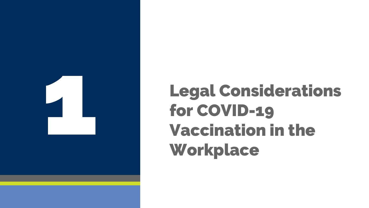

## **Legal Considerations for COVID -19 Vaccination in the Workplace**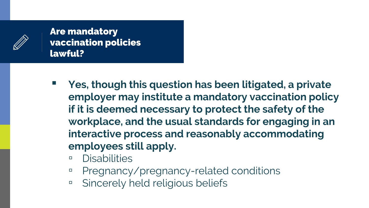

## **Are mandatory vaccination policies lawful?**

- **Yes, though this question has been litigated, a private employer may institute a mandatory vaccination policy if it is deemed necessary to protect the safety of the workplace, and the usual standards for engaging in an interactive process and reasonably accommodating employees still apply.**
	- Disabilities
	- Pregnancy/pregnancy-related conditions
	- □ Sincerely held religious beliefs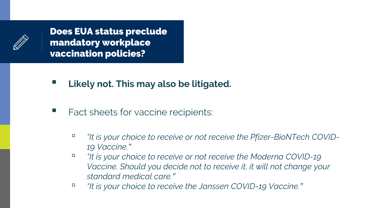**Does EUA status preclude mandatory workplace vaccination policies?**

- **Likely not. This may also be litigated.**
- Fact sheets for vaccine recipients:
	- *"It is your choice to receive or not receive the Pfizer-BioNTech COVID-19 Vaccine."*
	- *"It is your choice to receive or not receive the Moderna COVID-19 Vaccine. Should you decide not to receive it, it will not change your standard medical care."*
	- *"It is your choice to receive the Janssen COVID-19 Vaccine."*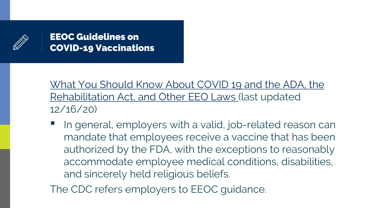

**EEOC Guidelines on COVID-19 Vaccinations**

[What You Should Know About COVID 19 and the ADA, the](https://www.eeoc.gov/wysk/what-you-should-know-about-covid-19-and-ada-rehabilitation-act-and-other-eeo-laws)  Rehabilitation Act, and Other EEO Laws (last updated 12/16/20)

In general, employers with a valid, job-related reason can mandate that employees receive a vaccine that has been authorized by the FDA, with the exceptions to reasonably accommodate employee medical conditions, disabilities, and sincerely held religious beliefs.

The CDC refers employers to EEOC guidance.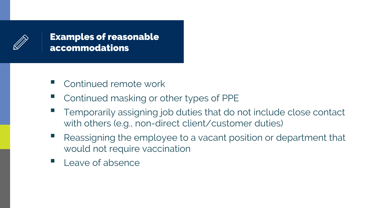

**Examples of reasonable accommodations**

- Continued remote work
- Continued masking or other types of PPE
- Temporarily assigning job duties that do not include close contact with others (e.g., non-direct client/customer duties)
- Reassigning the employee to a vacant position or department that would not require vaccination
- $\blacksquare$  Leave of absence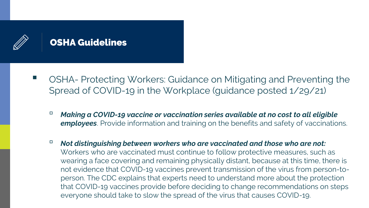

- OSHA- Protecting Workers: Guidance on Mitigating and Preventing the Spread of COVID-19 in the Workplace (guidance posted 1/29/21)
	- *Making a COVID-19 vaccine or vaccination series available at no cost to all eligible employees*. Provide information and training on the benefits and safety of vaccinations.
	- *Not distinguishing between workers who are vaccinated and those who are not:* Workers who are vaccinated must continue to follow protective measures, such as wearing a face covering and remaining physically distant, because at this time, there is not evidence that COVID-19 vaccines prevent transmission of the virus from person-toperson. The CDC explains that experts need to understand more about the protection that COVID-19 vaccines provide before deciding to change recommendations on steps everyone should take to slow the spread of the virus that causes COVID-19.